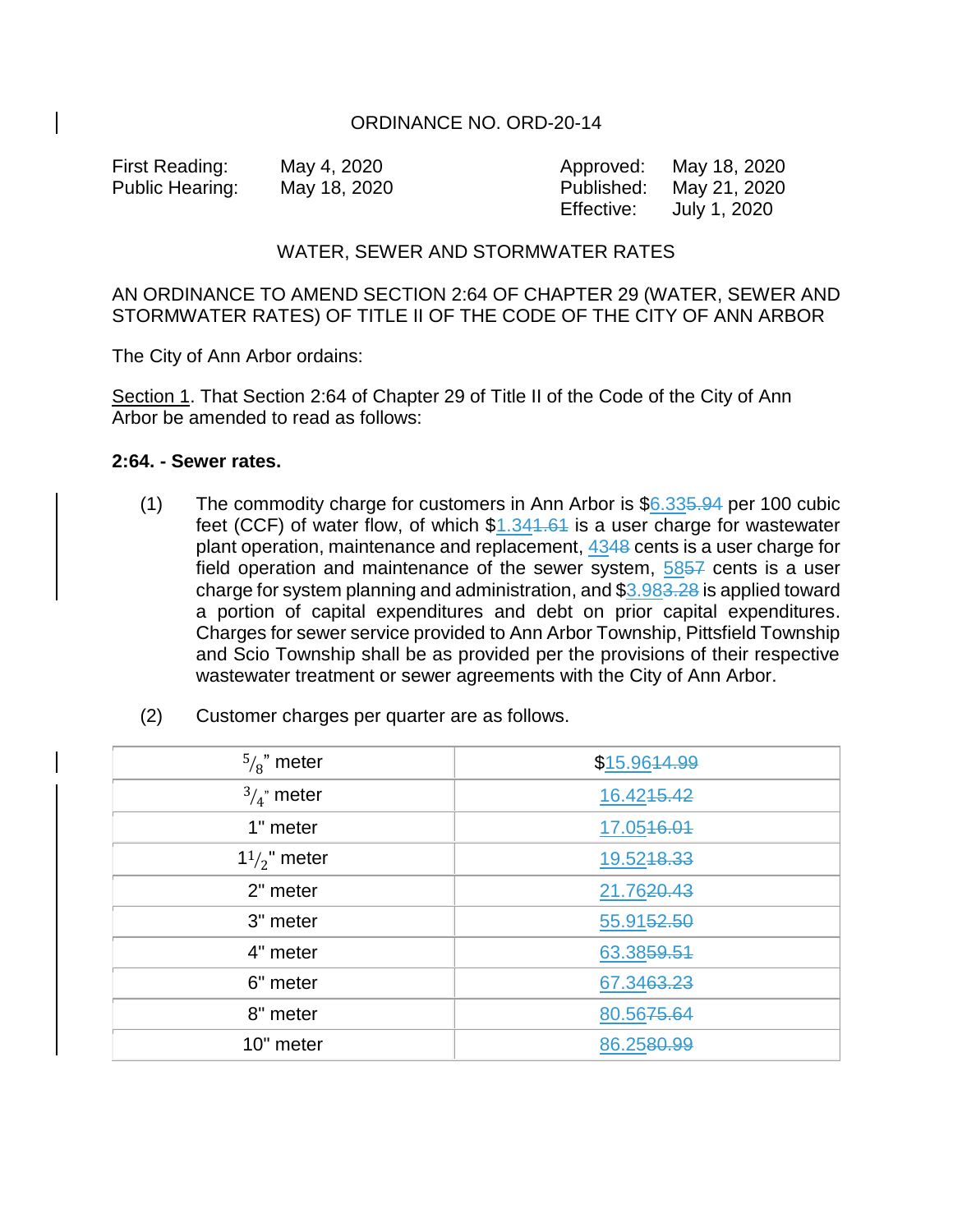## ORDINANCE NO. ORD-20-14

First Reading: May 4, 2020 Approved: May 18, 2020 Public Hearing: May 18, 2020 Published: May 21, 2020 Effective: July 1, 2020

## WATER, SEWER AND STORMWATER RATES

AN ORDINANCE TO AMEND SECTION 2:64 OF CHAPTER 29 (WATER, SEWER AND STORMWATER RATES) OF TITLE II OF THE CODE OF THE CITY OF ANN ARBOR

The City of Ann Arbor ordains:

Section 1. That Section 2:64 of Chapter 29 of Title II of the Code of the City of Ann Arbor be amended to read as follows:

## **2:64. - Sewer rates.**

(1) The commodity charge for customers in Ann Arbor is  $$6.335.94$  per 100 cubic feet (CCF) of water flow, of which  $$1.341.64$  is a user charge for wastewater plant operation, maintenance and replacement, 4348 cents is a user charge for field operation and maintenance of the sewer system, 5857 cents is a user charge for system planning and administration, and \$3.983.28 is applied toward a portion of capital expenditures and debt on prior capital expenditures. Charges for sewer service provided to Ann Arbor Township, Pittsfield Township and Scio Township shall be as provided per the provisions of their respective wastewater treatment or sewer agreements with the City of Ann Arbor.

| (2) |  |  |  |  |  | Customer charges per quarter are as follows. |
|-----|--|--|--|--|--|----------------------------------------------|
|-----|--|--|--|--|--|----------------------------------------------|

| $\frac{5}{8}$ " meter  | \$15.9644.99 |
|------------------------|--------------|
| $\frac{3}{4}$ " meter  | 16.4245.42   |
| 1" meter               | 17.0546.01   |
| $1\frac{1}{2}$ " meter | 19.5248.33   |
| 2" meter               | 21.7620.43   |
| 3" meter               | 55.9152.50   |
| 4" meter               | 63.3859.51   |
| 6" meter               | 67.3463.23   |
| 8" meter               | 80.5675.64   |
| 10" meter              | 86.2580.99   |